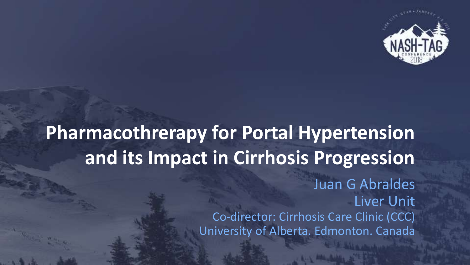

# **Pharmacothrerapy for Portal Hypertension and its Impact in Cirrhosis Progression**

Juan G Abraldes Liver Unit Co-director: Cirrhosis Care Clinic (CCC) University of Alberta. Edmonton. Canada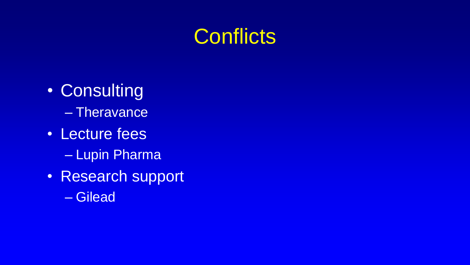# **Conflicts**

- Consulting – Theravance
- Lecture fees
	- Lupin Pharma
- Research support
	- Gilead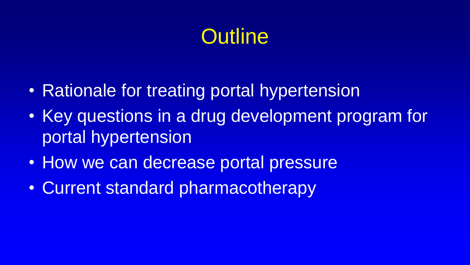# **Outline**

- Rationale for treating portal hypertension
- Key questions in a drug development program for portal hypertension
- How we can decrease portal pressure
- Current standard pharmacotherapy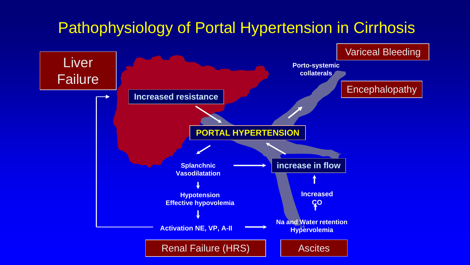### Pathophysiology of Portal Hypertension in Cirrhosis

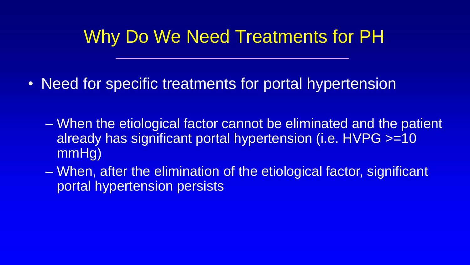### Why Do We Need Treatments for PH

- Need for specific treatments for portal hypertension
	- When the etiological factor cannot be eliminated and the patient already has significant portal hypertension (i.e. HVPG >=10 mmHg)
	- When, after the elimination of the etiological factor, significant portal hypertension persists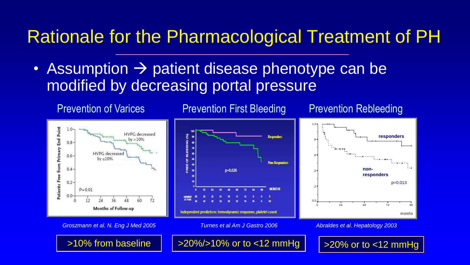### Rationale for the Pharmacological Treatment of PH

• Assumption  $\rightarrow$  patient disease phenotype can be modified by decreasing portal pressure



*Groszmann et al. N. Eng J Med 2005 Turnes et al Am J Gastro 2006*

*Abraldes et al. Hepatology 2003*

 $>10\%$  from baseline |  $>20\%/>10\%$  or to <12 mmHg |  $\,$   $\,$  >20% or to <12 mmHg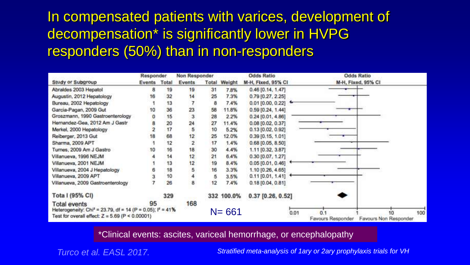### In compensated patients with varices, development of decompensation\* is significantly lower in HVPG responders (50%) than in non-responders

|                                                                                                                                                        | Responder       |     | Non Responder  |    | <b>Odds Ratio</b>   |                                   | <b>Odds Ratio</b>                                             |
|--------------------------------------------------------------------------------------------------------------------------------------------------------|-----------------|-----|----------------|----|---------------------|-----------------------------------|---------------------------------------------------------------|
| Study or Subgroup                                                                                                                                      | Events<br>Total |     | Events         |    | <b>Total Weight</b> | M-H. Fixed, 95% CI                | M-H. Fixed, 95% CI                                            |
| Abraldes 2003 Hepatol                                                                                                                                  | 8               | 19  | 19             | 31 | 7.8%                | $0.46$ [0.14, 1.47]               |                                                               |
| Augustin, 2012 Hepatology                                                                                                                              | 16              | 32  | 14             | 25 | 7.3%                | $0.79$ [0.27, 2.25]               |                                                               |
| Bureau, 2002 Hepatology                                                                                                                                |                 | 13  |                | 8  | 7.4%                | $0.01$ [0.00, 0.22] $\rightarrow$ |                                                               |
| Garcia-Pagan, 2009 Gut                                                                                                                                 | 10              | 36  | 23             | 58 | 11.8%               | $0.59$ [0.24, 1.44]               |                                                               |
| Groszmann, 1990 Gastroenterology                                                                                                                       |                 | 15  | 3              | 28 | 2.2%                | $0.24$ [0.01, 4.86]               |                                                               |
| Hernandez-Gea, 2012 Am J Gastr                                                                                                                         | $\frac{0}{2}$   | 20  | 24             | 27 | 11.4%               | 0.08 [0.02, 0.37]                 |                                                               |
| Merkel, 2000 Hepatology                                                                                                                                |                 | 17  | 5              | 10 | 5.2%                | $0.13$ [0.02, 0.92]               |                                                               |
| Reiberger, 2013 Gut                                                                                                                                    | 18              | 68  | 12             | 25 | 12.0%               | $0.39$ [0.15, 1.01]               |                                                               |
| Sharma, 2009 APT                                                                                                                                       |                 | 12  | $\overline{2}$ | 17 | 1.4%                | $0.68$ [0.05, 8.50]               |                                                               |
| Turnes, 2009 Am J Gastro                                                                                                                               | 10              | 16  | 18             | 30 | 4.4%                | 1.11 [0.32, 3.87]                 |                                                               |
| Villanueva, 1996 NEJM                                                                                                                                  |                 | 14  | 12             | 21 | 6.4%                | $0.30$ [0.07, 1.27]               |                                                               |
| Villanueva, 2001 NEJM                                                                                                                                  |                 | 13  | 12             | 19 | 8.4%                | 0.05[0.01, 0.46]                  |                                                               |
| Villanueva, 2004 J Hepatology                                                                                                                          |                 | 18  | 5              | 16 | 3.3%                | 1.10 [0.26, 4.65]                 |                                                               |
| Villanueva, 2009 APT                                                                                                                                   |                 | 10  | $\overline{4}$ | 5  | 3.5%                | $0.11$ [0.01, 1.41]               |                                                               |
| Villanueva, 2009 Gastroenterology                                                                                                                      |                 | 26  | 8              | 12 | 7.4%                | $0.18$ [0.04, 0.81]               |                                                               |
| Tota I (95% CI)                                                                                                                                        |                 | 329 |                |    | 332 100.0%          | $0.37$ [0.26, 0.52]               |                                                               |
| Total events<br>Heterogeneity: Chi <sup>2</sup> = 23.79, df = 14 (P = 0.05); l <sup>2</sup> = 41%<br>Test for overall effect: $Z = 5.69$ (P < 0.00001) | 95              |     | 168            |    | $N = 661$           |                                   | 0.01<br>100<br>0.1<br>Favours Responder Favours Non Responder |

\*Clinical events: ascites, variceal hemorrhage, or encephalopathy

*Turco et al. EASL 2017.*

*Stratified meta-analysis of 1ary or 2ary prophylaxis trials for VH*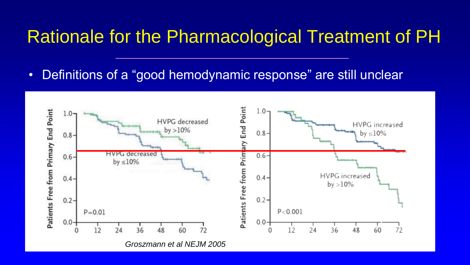### Rationale for the Pharmacological Treatment of PH

• Definitions of a "good hemodynamic response" are still unclear

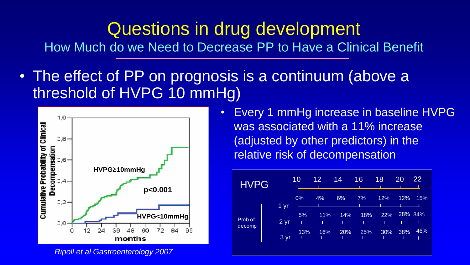How Much do we Need to Decrease PP to Have a Clinical Benefit

• The effect of PP on prognosis is a continuum (above a threshold of HVPG 10 mmHg)



*Ripoll et al Gastroenterology 2007*

• Every 1 mmHg increase in baseline HVPG was associated with a 11% increase (adjusted by other predictors) in the relative risk of decompensation

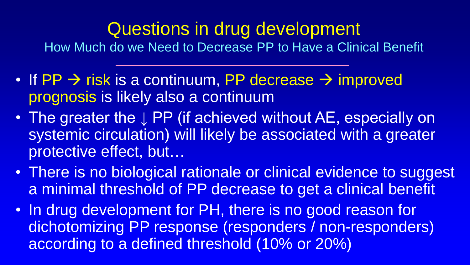How Much do we Need to Decrease PP to Have a Clinical Benefit

- If PP  $\rightarrow$  risk is a continuum, PP decrease  $\rightarrow$  improved prognosis is likely also a continuum
- The greater the ↓ PP (if achieved without AE, especially on systemic circulation) will likely be associated with a greater protective effect, but…
- There is no biological rationale or clinical evidence to suggest a minimal threshold of PP decrease to get a clinical benefit
- In drug development for PH, there is no good reason for dichotomizing PP response (responders / non-responders) according to a defined threshold (10% or 20%)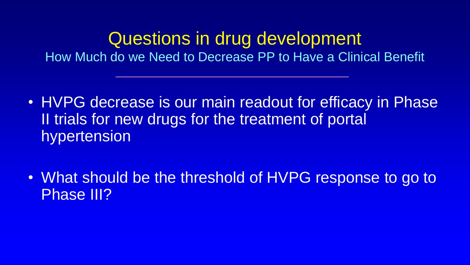How Much do we Need to Decrease PP to Have a Clinical Benefit

- HVPG decrease is our main readout for efficacy in Phase II trials for new drugs for the treatment of portal hypertension
- What should be the threshold of HVPG response to go to Phase III?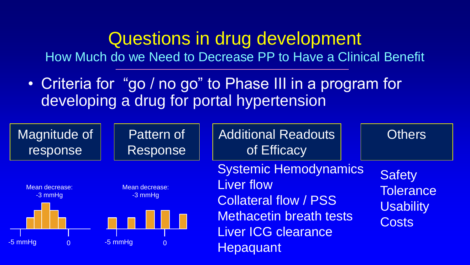How Much do we Need to Decrease PP to Have a Clinical Benefit

• Criteria for "go / no go" to Phase III in a program for developing a drug for portal hypertension

| Magnitude of                                       | Pattern of                                                 | <b>Additional Readouts</b>                                                                                                                                     | <b>Others</b>                                                         |
|----------------------------------------------------|------------------------------------------------------------|----------------------------------------------------------------------------------------------------------------------------------------------------------------|-----------------------------------------------------------------------|
| response                                           | Response                                                   | of Efficacy                                                                                                                                                    |                                                                       |
| Mean decrease:<br>$-3$ mmHg<br>-5 mmHg<br>$\Omega$ | Mean decrease:<br>$-3$ mmHg<br>$-5$ mmHg<br>$\overline{0}$ | <b>Systemic Hemodynamics</b><br><b>Liver flow</b><br><b>Collateral flow / PSS</b><br><b>Methacetin breath tests</b><br>Liver ICG clearance<br><b>Hepaquant</b> | <b>Safety</b><br><b>Tolerance</b><br><b>Usability</b><br><b>Costs</b> |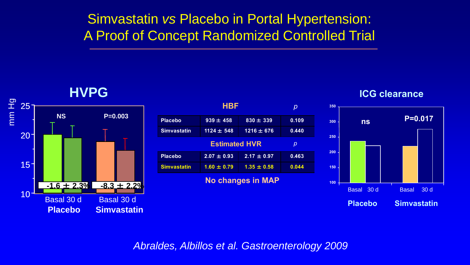### Simvastatin *vs* Placebo in Portal Hypertension: A Proof of Concept Randomized Controlled Trial









*Abraldes, Albillos et al. Gastroenterology 2009*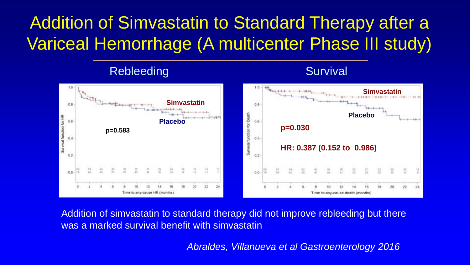## Addition of Simvastatin to Standard Therapy after a Variceal Hemorrhage (A multicenter Phase III study)

#### Rebleeding



Addition of simvastatin to standard therapy did not improve rebleeding but there was a marked survival benefit with simvastatin

*Abraldes, Villanueva et al Gastroenterology 2016*

**Survival**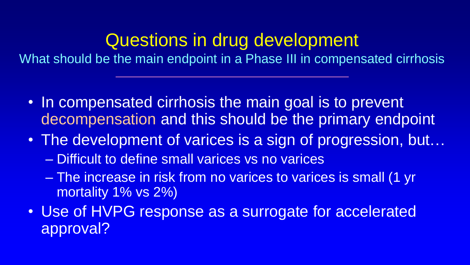What should be the main endpoint in a Phase III in compensated cirrhosis

- In compensated cirrhosis the main goal is to prevent decompensation and this should be the primary endpoint
- The development of varices is a sign of progression, but...
	- Difficult to define small varices vs no varices
	- The increase in risk from no varices to varices is small (1 yr mortality 1% vs 2%)
- Use of HVPG response as a surrogate for accelerated approval?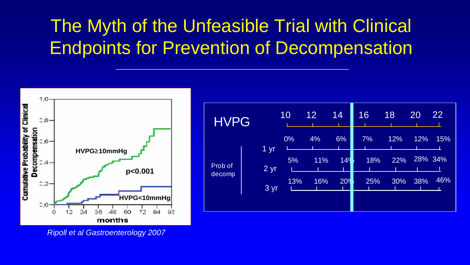## The Myth of the Unfeasible Trial with Clinical Endpoints for Prevention of Decompensation



| <b>HVPG</b>       |      | 10  | 12 <sub>2</sub> | 14              | 16  | 18  | 20  | 22      |
|-------------------|------|-----|-----------------|-----------------|-----|-----|-----|---------|
|                   | 1 yr | 0%  | 4%              | 6%              | 7%  | 12% | 12% | 15%     |
| Prob of<br>decomp | 2 yr | 5%  | 11%             | 149             | 18% | 22% |     | 28% 34% |
|                   | 3 yr | 13% | 16%             | 20 <sup>9</sup> | 25% | 30% | 38% | 46%     |
|                   |      |     |                 |                 |     |     |     |         |

*Ripoll et al Gastroenterology 2007*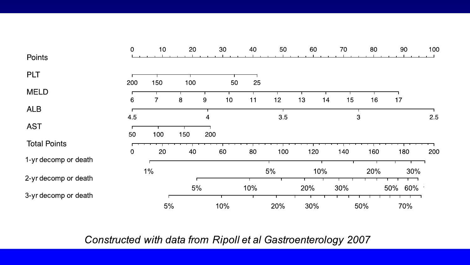|                      | 0         | 10 <sub>1</sub> | 20     | 30       | 40  | 50  | 60       | 70  | 80  | 90         | 100 |
|----------------------|-----------|-----------------|--------|----------|-----|-----|----------|-----|-----|------------|-----|
| Points               |           |                 |        |          |     |     |          |     |     |            |     |
| <b>PLT</b>           | 200       | 150             | 100    | 50       | 25  |     |          |     |     |            |     |
| <b>MELD</b>          | 6         | 7               | 8<br>9 | 10       | 11  | 12  | 13<br>14 | 15  | 16  | 17         |     |
| <b>ALB</b>           |           |                 |        |          |     |     |          |     |     |            |     |
| <b>AST</b>           | 4.5<br>50 | 100             | 150    | 4<br>200 |     | 3.5 |          | 3   |     |            | 2.5 |
| <b>Total Points</b>  | 0         | 20              | 40     | 60       | 80  | 100 | 120      | 140 | 160 | 180        | 200 |
| 1-yr decomp or death |           |                 |        |          |     |     |          |     |     |            |     |
| 2-yr decomp or death |           | $1\%$           |        |          |     | 5%  | 10%      |     | 20% | 30%        |     |
|                      |           |                 | 5%     |          | 10% |     | 20%      | 30% |     | 60%<br>50% |     |
| 3-yr decomp or death |           | 5%              |        | 10%      |     | 20% | 30%      |     | 50% | 70%        |     |

#### Constructed with data from Ripoll et al Gastroenterology 2007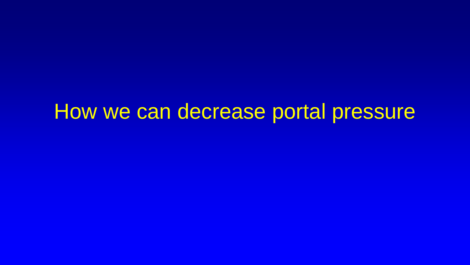# How we can decrease portal pressure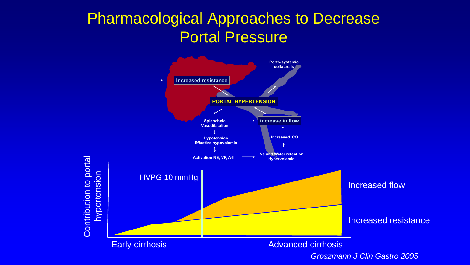### **Pharmacological Approaches to Decrease** Portal Pressure



*Groszmann J Clin Gastro 2005*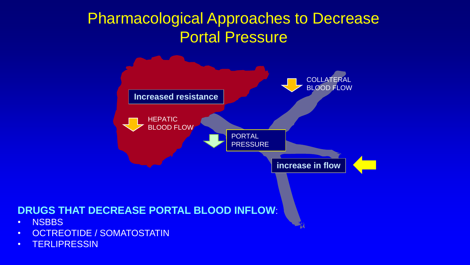### Pharmacological Approaches to Decrease Portal Pressure



#### **DRUGS THAT DECREASE PORTAL BLOOD INFLOW**:

- NSBBS
- OCTREOTIDE / SOMATOSTATIN
- TERLIPRESSIN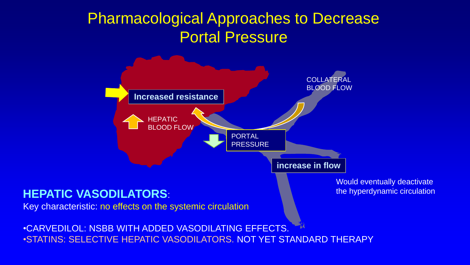### Pharmacological Approaches to Decrease Portal Pressure



#### **HEPATIC VASODILATORS**:

Key characteristic: no effects on the systemic circulation

Would eventually deactivate the hyperdynamic circulation

•CARVEDILOL: NSBB WITH ADDED VASODILATING EFFECTS. •STATINS: SELECTIVE HEPATIC VASODILATORS. NOT YET STANDARD THERAPY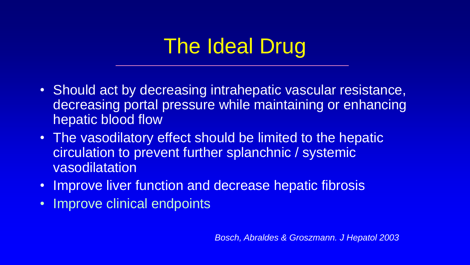# The Ideal Drug

- Should act by decreasing intrahepatic vascular resistance, decreasing portal pressure while maintaining or enhancing hepatic blood flow
- The vasodilatory effect should be limited to the hepatic circulation to prevent further splanchnic / systemic vasodilatation
- Improve liver function and decrease hepatic fibrosis
- Improve clinical endpoints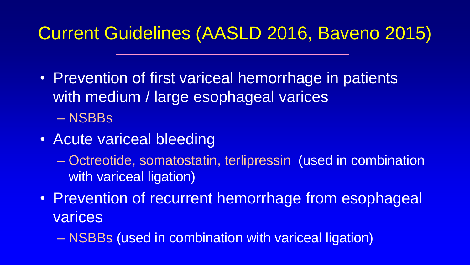## Current Guidelines (AASLD 2016, Baveno 2015)

- Prevention of first variceal hemorrhage in patients with medium / large esophageal varices – NSBBs
- Acute variceal bleeding
	- Octreotide, somatostatin, terlipressin (used in combination with variceal ligation)
- Prevention of recurrent hemorrhage from esophageal **varices** 
	- NSBBs (used in combination with variceal ligation)